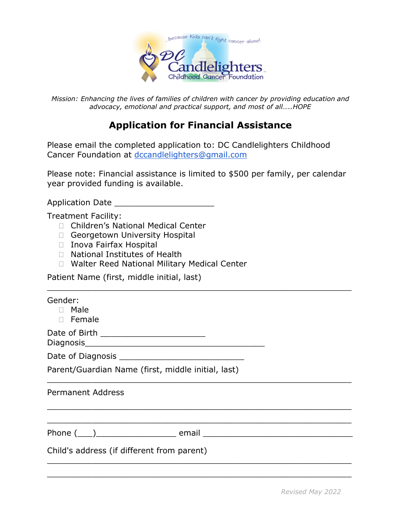

*Mission: Enhancing the lives of families of children with cancer by providing education and advocacy, emotional and practical support, and most of all…..HOPE*

## **Application for Financial Assistance**

Please email the completed application to: DC Candlelighters Childhood Cancer Foundation at [dccandlelighters@gmail.com](mailto:dccandlelighters@gmail.com)

Please note: Financial assistance is limited to \$500 per family, per calendar year provided funding is available.

\_\_\_\_\_\_\_\_\_\_\_\_\_\_\_\_\_\_\_\_\_\_\_\_\_\_\_\_\_\_\_\_\_\_\_\_\_\_\_\_\_\_\_\_\_\_\_\_\_\_\_\_\_\_\_\_\_\_\_\_\_

\_\_\_\_\_\_\_\_\_\_\_\_\_\_\_\_\_\_\_\_\_\_\_\_\_\_\_\_\_\_\_\_\_\_\_\_\_\_\_\_\_\_\_\_\_\_\_\_\_\_\_\_\_\_\_\_\_\_\_\_\_

\_\_\_\_\_\_\_\_\_\_\_\_\_\_\_\_\_\_\_\_\_\_\_\_\_\_\_\_\_\_\_\_\_\_\_\_\_\_\_\_\_\_\_\_\_\_\_\_\_\_\_\_\_\_\_\_\_\_\_\_\_

\_\_\_\_\_\_\_\_\_\_\_\_\_\_\_\_\_\_\_\_\_\_\_\_\_\_\_\_\_\_\_\_\_\_\_\_\_\_\_\_\_\_\_\_\_\_\_\_\_\_\_\_\_\_\_\_\_\_\_\_\_

\_\_\_\_\_\_\_\_\_\_\_\_\_\_\_\_\_\_\_\_\_\_\_\_\_\_\_\_\_\_\_\_\_\_\_\_\_\_\_\_\_\_\_\_\_\_\_\_\_\_\_\_\_\_\_\_\_\_\_\_\_

\_\_\_\_\_\_\_\_\_\_\_\_\_\_\_\_\_\_\_\_\_\_\_\_\_\_\_\_\_\_\_\_\_\_\_\_\_\_\_\_\_\_\_\_\_\_\_\_\_\_\_\_\_\_\_\_\_\_\_\_\_

Application Date \_\_\_\_\_\_\_\_\_\_\_\_\_\_\_\_\_\_\_\_

Treatment Facility:

- □ Children's National Medical Center
- Georgetown University Hospital
- □ Inova Fairfax Hospital
- □ National Institutes of Health
- □ Walter Reed National Military Medical Center

Patient Name (first, middle initial, last)

| Gender: |  |
|---------|--|
|---------|--|

- Male
- Female

Date of Birth \_\_\_\_\_\_\_\_\_\_\_\_\_\_\_\_\_\_\_\_\_

Diagnosis\_\_\_\_\_\_\_\_\_\_\_\_\_\_\_\_\_\_\_\_\_\_\_\_\_\_\_\_\_\_\_\_\_\_\_\_

Date of Diagnosis \_\_\_\_\_\_\_\_\_\_\_\_\_\_\_\_\_\_\_\_\_\_\_\_\_

Parent/Guardian Name (first, middle initial, last)

| <b>Permanent Address</b> |  |
|--------------------------|--|
|--------------------------|--|

Phone (\_\_\_)\_\_\_\_\_\_\_\_\_\_\_\_\_\_\_\_ email \_\_\_\_\_\_\_\_\_\_\_\_\_\_\_\_\_\_\_\_\_\_\_\_\_\_\_\_\_\_

Child's address (if different from parent)